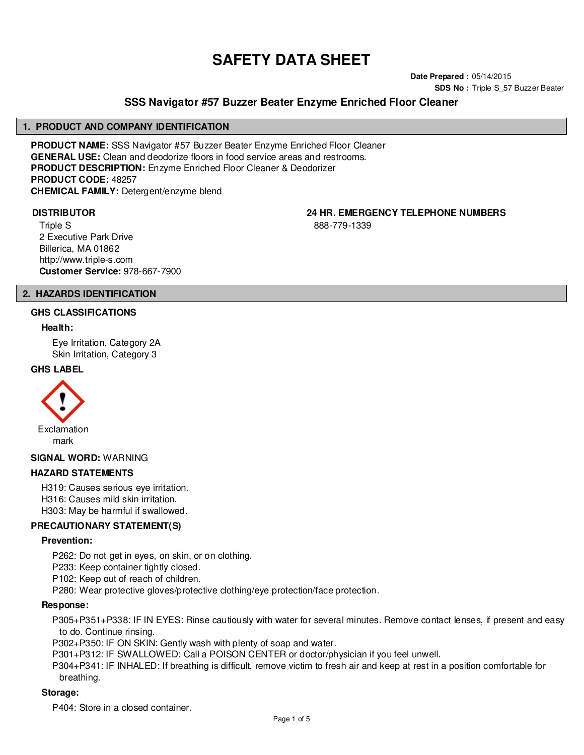# **SAFETY DATA SHEET**

**Date Prepared :** 05/14/2015 **SDS No : Triple S 57 Buzzer Beater** 

# **SSS Navigator #57 Buzzer Beater Enzyme Enriched Floor Cleaner**

#### **1. PRODUCT AND COMPANY IDENTIFICATION**

**PRODUCT NAME:** SSS Navigator #57 Buzzer Beater Enzyme Enriched Floor Cleaner **GENERAL USE:** Clean and deodorize floors in food service areas and restrooms. **PRODUCT DESCRIPTION:** Enzyme Enriched Floor Cleaner & Deodorizer **PRODUCT CODE:** 48257 **CHEMICAL FAMILY:** Detergent/enzyme blend

Triple S 2 Executive Park Drive Billerica, MA 01862 http://www.triple-s.com **Customer Service:** 978-667-7900

**DISTRIBUTOR 24 HR. EMERGENCY TELEPHONE NUMBERS**

888-779-1339

### **2. HAZARDS IDENTIFICATION**

### **GHS CLASSIFICATIONS**

#### **Health:**

Eye Irritation, Category 2A Skin Irritation, Category 3

#### **GHS LABEL**



#### **SIGNAL WORD:** WARNING

### **HAZARD STATEMENTS**

H319: Causes serious eye irritation. H316: Causes mild skin irritation. H303: May be harmful if swallowed.

### **PRECAUTIONARY STATEMENT(S)**

#### **Prevention:**

- P262: Do not get in eyes, on skin, or on clothing.
- P233: Keep container tightly closed.
- P102: Keep out of reach of children.
- P280: Wear protective gloves/protective clothing/eye protection/face protection.

#### **Response:**

P305+P351+P338: IF IN EYES: Rinse cautiously with water for several minutes. Remove contact lenses, if present and easy to do. Continue rinsing.

P302+P350: IF ON SKIN: Gently wash with plenty of soap and water.

P301+P312: IF SWALLOWED: Call a POISON CENTER or doctor/physician if you feel unwell.

P304+P341: IF INHALED: If breathing is difficult, remove victim to fresh air and keep at rest in a position comfortable for breathing.

#### **Storage:**

P404: Store in a closed container.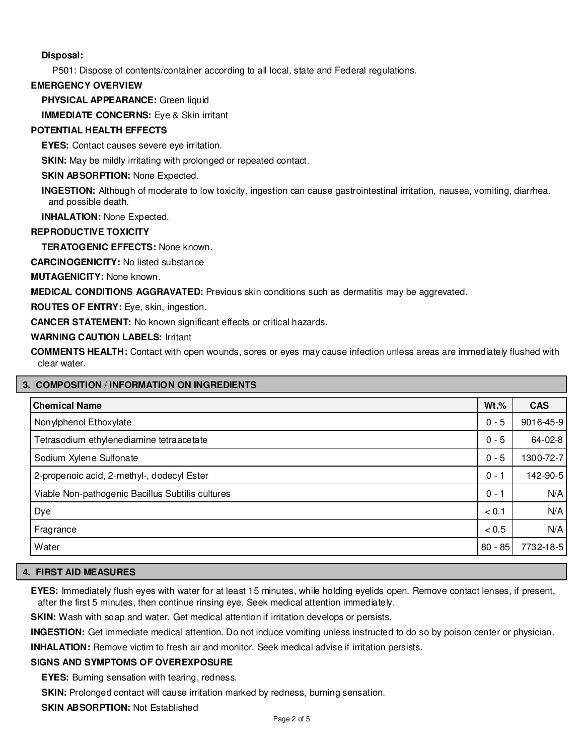# **Disposal:**

P501: Dispose of contents/container according to all local, state and Federal regulations.

## **EMERGENCY OVERVIEW**

**PHYSICAL APPEARANCE:** Green liquid

**IMMEDIATE CONCERNS:** Eye & Skin irritant

# **POTENTIAL HEALTH EFFECTS**

**EYES:** Contact causes severe eye irritation.

**SKIN:** May be mildly irritating with prolonged or repeated contact.

# **SKIN ABSORPTION: None Expected.**

**INGESTION:** Although of moderate to low toxicity, ingestion can cause gastrointestinal irritation, nausea, vomiting, diarrhea, and possible death.

**INHALATION:** None Expected.

# **REPRODUCTIVE TOXICITY**

**TERATOGENIC EFFECTS:** None known.

**CARCINOGENICITY:** No listed substance

**MUTAGENICITY:** None known.

**MEDICAL CONDITIONS AGGRAVATED:** Previous skin conditions such as dermatitis may be aggrevated.

**ROUTES OF ENTRY:** Eye, skin, ingestion.

**CANCER STATEMENT:** No known significant effects or critical hazards.

**WARNING CAUTION LABELS:** Irritant

**COMMENTS HEALTH:** Contact with open wounds, sores or eyes may cause infection unless areas are immediately flushed with clear water.

# **3. COMPOSITION / INFORMATION ON INGREDIENTS**

| <b>Chemical Name</b>                             | $Wt.\%$   | <b>CAS</b> |
|--------------------------------------------------|-----------|------------|
| Nonylphenol Ethoxylate                           | $0 - 5$   | 9016-45-9  |
| Tetrasodium ethylenediamine tetraacetate         | $0 - 5$   | 64-02-8    |
| Sodium Xylene Sulfonate                          | $0 - 5$   | 1300-72-7  |
| 2-propenoic acid, 2-methyl-, dodecyl Ester       | $0 - 1$   | 142-90-5   |
| Viable Non-pathogenic Bacillus Subtilis cultures | $0 - 1$   | N/A        |
| Dye                                              | < 0.1     | N/A        |
| Fragrance                                        | < 0.5     | N/A        |
| Water                                            | $80 - 85$ | 7732-18-5  |

# **4. FIRST AID MEASURES**

**EYES:** Immediately flush eyes with water for at least 15 minutes, while holding eyelids open. Remove contact lenses, if present, after the first 5 minutes, then continue rinsing eye. Seek medical attention immediately.

**SKIN:** Wash with soap and water. Get medical attention if irritation develops or persists.

**INGESTION:** Get immediate medical attention. Do not induce vomiting unless instructed to do so by poison center or physician.

**INHALATION:** Remove victim to fresh air and monitor. Seek medical advise if irritation persists.

### **SIGNS AND SYMPTOMS OF OVEREXPOSURE**

**EYES:** Burning sensation with tearing, redness.

**SKIN:** Prolonged contact will cause irritation marked by redness, burning sensation.

**SKIN ABSORPTION:** Not Established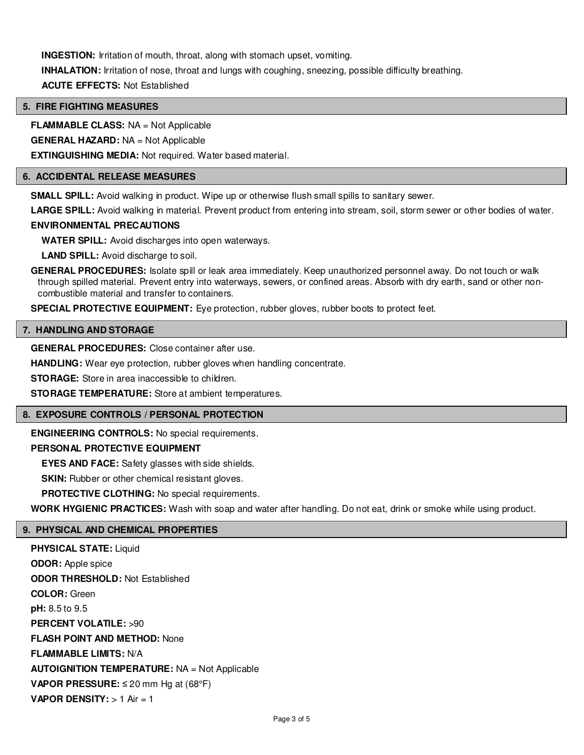**INGESTION:** Irritation of mouth, throat, along with stomach upset, vomiting. **INHALATION:** Irritation of nose, throat and lungs with coughing, sneezing, possible difficulty breathing. **ACUTE EFFECTS:** Not Established

## **5. FIRE FIGHTING MEASURES**

**FLAMMABLE CLASS:** NA = Not Applicable

**GENERAL HAZARD:** NA = Not Applicable

**EXTINGUISHING MEDIA:** Not required. Water based material.

# **6. ACCIDENTAL RELEASE MEASURES**

**SMALL SPILL:** Avoid walking in product. Wipe up or otherwise flush small spills to sanitary sewer.

**LARGE SPILL:** Avoid walking in material. Prevent product from entering into stream, soil, storm sewer or other bodies of water.

# **ENVIRONMENTAL PRECAUTIONS**

**WATER SPILL:** Avoid discharges into open waterways.

**LAND SPILL:** Avoid discharge to soil.

**GENERAL PROCEDURES:** Isolate spill or leak area immediately. Keep unauthorized personnel away. Do not touch or walk through spilled material. Prevent entry into waterways, sewers, or confined areas. Absorb with dry earth, sand or other noncombustible material and transfer to containers.

**SPECIAL PROTECTIVE EQUIPMENT:** Eye protection, rubber gloves, rubber boots to protect feet.

#### **7. HANDLING AND STORAGE**

**GENERAL PROCEDURES:** Close container after use.

**HANDLING:** Wear eye protection, rubber gloves when handling concentrate.

**STORAGE:** Store in area inaccessible to children.

**STORAGE TEMPERATURE:** Store at ambient temperatures.

### **8. EXPOSURE CONTROLS / PERSONAL PROTECTION**

**ENGINEERING CONTROLS:** No special requirements.

## **PERSONAL PROTECTIVE EQUIPMENT**

**EYES AND FACE:** Safety glasses with side shields.

**SKIN:** Rubber or other chemical resistant gloves.

**PROTECTIVE CLOTHING:** No special requirements.

**WORK HYGIENIC PRACTICES:** Wash with soap and water after handling. Do not eat, drink or smoke while using product.

# **9. PHYSICAL AND CHEMICAL PROPERTIES**

**PHYSICAL STATE:** Liquid **ODOR:** Apple spice **ODOR THRESHOLD:** Not Established **COLOR:** Green **pH:** 8.5 to 9.5 **PERCENT VOLATILE:** >90 **FLASH POINT AND METHOD:** None **FLAMMABLE LIMITS:** N/A **AUTOIGNITION TEMPERATURE:** NA = Not Applicable **VAPOR PRESSURE:** ≤ 20 mm Hg at (68°F) **VAPOR DENSITY:** > 1 Air = 1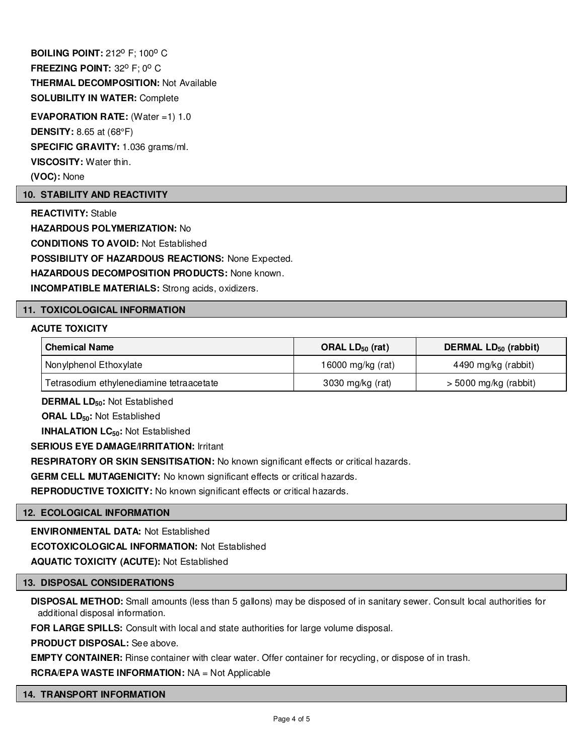**BOILING POINT: 212º F; 100° C FREEZING POINT: 32° F; 0° C THERMAL DECOMPOSITION:** Not Available **SOLUBILITY IN WATER:** Complete **EVAPORATION RATE:** (Water =1) 1.0

**DENSITY:** 8.65 at (68°F)

**SPECIFIC GRAVITY:** 1.036 grams/ml.

**VISCOSITY:** Water thin.

**(VOC):** None

# **10. STABILITY AND REACTIVITY**

**REACTIVITY:** Stable **HAZARDOUS POLYMERIZATION:** No **CONDITIONS TO AVOID:** Not Established **POSSIBILITY OF HAZARDOUS REACTIONS:** None Expected. **HAZARDOUS DECOMPOSITION PRODUCTS:** None known. **INCOMPATIBLE MATERIALS:** Strong acids, oxidizers.

# **11. TOXICOLOGICAL INFORMATION**

### **ACUTE TOXICITY**

| <b>Chemical Name</b>                     | ORAL $LD_{50}$ (rat) | DERMAL LD <sub>50</sub> (rabbit) |
|------------------------------------------|----------------------|----------------------------------|
| Nonylphenol Ethoxylate                   | 16000 mg/kg (rat)    | 4490 mg/kg (rabbit)              |
| Tetrasodium ethylenediamine tetraacetate | 3030 mg/kg (rat)     | $>$ 5000 mg/kg (rabbit)          |

**DERMAL LD50:** Not Established

**ORAL LD50:** Not Established

**INHALATION LC50:** Not Established

**SERIOUS EYE DAMAGE/IRRITATION:** Irritant

**RESPIRATORY OR SKIN SENSITISATION:** No known significant effects or critical hazards.

**GERM CELL MUTAGENICITY:** No known significant effects or critical hazards.

**REPRODUCTIVE TOXICITY:** No known significant effects or critical hazards.

### **12. ECOLOGICAL INFORMATION**

**ENVIRONMENTAL DATA:** Not Established

**ECOTOXICOLOGICAL INFORMATION:** Not Established

**AQUATIC TOXICITY (ACUTE):** Not Established

### **13. DISPOSAL CONSIDERATIONS**

**DISPOSAL METHOD:** Small amounts (less than 5 gallons) may be disposed of in sanitary sewer. Consult local authorities for additional disposal information.

**FOR LARGE SPILLS:** Consult with local and state authorities for large volume disposal.

**PRODUCT DISPOSAL:** See above.

**EMPTY CONTAINER:** Rinse container with clear water. Offer container for recycling, or dispose of in trash.

**RCRA/EPA WASTE INFORMATION:** NA = Not Applicable

### **14. TRANSPORT INFORMATION**